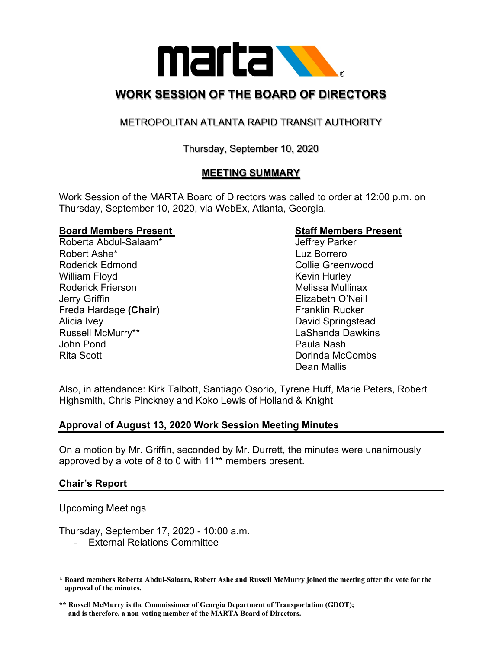

# **WORK SESSION OF THE BOARD OF DIRECTORS**

# METROPOLITAN ATLANTA RAPID TRANSIT AUTHORITY

# Thursday, September 10, 2020

# **MEETING SUMMARY**

Work Session of the MARTA Board of Directors was called to order at 12:00 p.m. on Thursday, September 10, 2020, via WebEx, Atlanta, Georgia.

#### **Board Members Present Staff Members Present**

Roberta Abdul-Salaam\* Jeffrey Parker Robert Ashe\* Luz Borrero Roderick Edmond **Collie Greenwood Collie Greenwood** William Floyd **Kevin Hurley** Roderick Frierson **Melissa Mullinax** Melissa Mullinax Jerry Griffin Elizabeth O'Neill **Freda Hardage (Chair)** Franklin Rucker Alicia Ivey David Springstead Russell McMurry\*\* The Controller Controller Engine LaShanda Dawkins John Pond Paula Nash Rita Scott Dorinda McCombs

Dean Mallis

Also, in attendance: Kirk Talbott, Santiago Osorio, Tyrene Huff, Marie Peters, Robert Highsmith, Chris Pinckney and Koko Lewis of Holland & Knight

# **Approval of August 13, 2020 Work Session Meeting Minutes**

On a motion by Mr. Griffin, seconded by Mr. Durrett, the minutes were unanimously approved by a vote of 8 to 0 with 11\*\* members present.

### **Chair's Report**

Upcoming Meetings

Thursday, September 17, 2020 - 10:00 a.m.

- External Relations Committee

**<sup>\*</sup> Board members Roberta Abdul-Salaam, Robert Ashe and Russell McMurry joined the meeting after the vote for the approval of the minutes.**

**<sup>\*\*</sup> Russell McMurry is the Commissioner of Georgia Department of Transportation (GDOT); and is therefore, a non-voting member of the MARTA Board of Directors.**